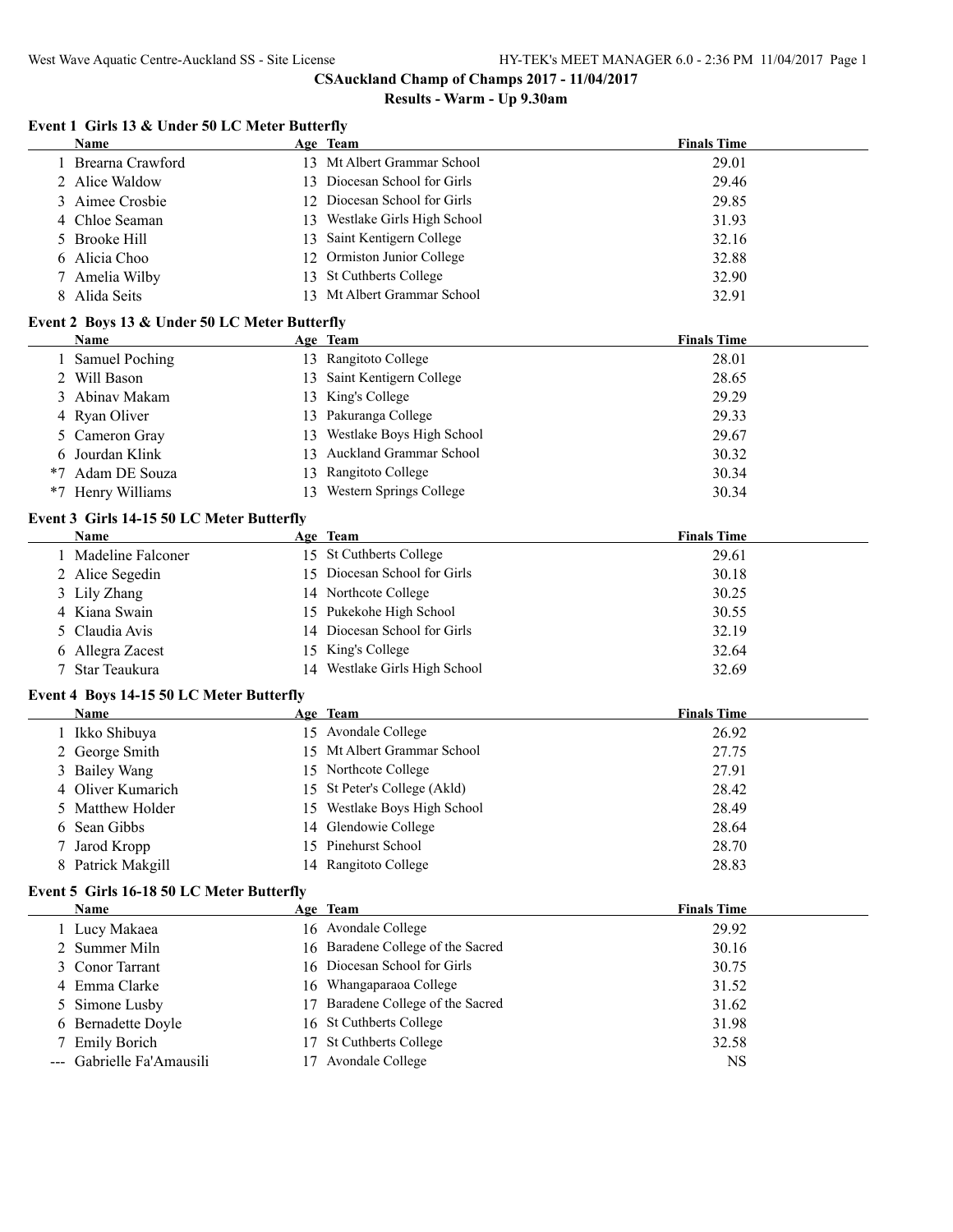|  | Event 1 Girls 13 & Under 50 LC Meter Butterfly |  |  |
|--|------------------------------------------------|--|--|
|  |                                                |  |  |

| Name                                          |    | Age Team                       | <b>Finals Time</b> |
|-----------------------------------------------|----|--------------------------------|--------------------|
| 1 Brearna Crawford                            |    | 13 Mt Albert Grammar School    | 29.01              |
| 2 Alice Waldow                                |    | 13 Diocesan School for Girls   | 29.46              |
| Aimee Crosbie<br>3                            |    | 12 Diocesan School for Girls   | 29.85              |
| Chloe Seaman<br>4                             |    | 13 Westlake Girls High School  | 31.93              |
| <b>Brooke Hill</b><br>5                       | 13 | Saint Kentigern College        | 32.16              |
| Alicia Choo<br>6.                             | 12 | Ormiston Junior College        | 32.88              |
| Amelia Wilby                                  | 13 | St Cuthberts College           | 32.90              |
| 8 Alida Seits                                 |    | 13 Mt Albert Grammar School    | 32.91              |
| Event 2 Boys 13 & Under 50 LC Meter Butterfly |    |                                |                    |
| Name                                          |    | Age Team                       | <b>Finals Time</b> |
| 1 Samuel Poching                              |    | 13 Rangitoto College           | 28.01              |
| 2 Will Bason                                  |    | 13 Saint Kentigern College     | 28.65              |
| Abinav Makam<br>3                             |    | 13 King's College              | 29.29              |
| Ryan Oliver<br>4                              |    | 13 Pakuranga College           | 29.33              |
| Cameron Gray<br>5.                            |    | 13 Westlake Boys High School   | 29.67              |
| 6 Jourdan Klink                               |    | 13 Auckland Grammar School     | 30.32              |
| *7 Adam DE Souza                              |    | 13 Rangitoto College           | 30.34              |
| *7 Henry Williams                             |    | 13 Western Springs College     | 30.34              |
| Event 3 Girls 14-15 50 LC Meter Butterfly     |    |                                |                    |
| <b>Name</b>                                   |    | Age Team                       | <b>Finals Time</b> |
| 1 Madeline Falconer                           |    | 15 St Cuthberts College        | 29.61              |
| 2 Alice Segedin                               |    | 15 Diocesan School for Girls   | 30.18              |
| 3 Lily Zhang                                  |    | 14 Northcote College           | 30.25              |
| Kiana Swain<br>4                              | 15 | Pukekohe High School           | 30.55              |
| Claudia Avis<br>5                             |    | 14 Diocesan School for Girls   | 32.19              |
| Allegra Zacest<br>6                           | 15 | King's College                 | 32.64              |
| Star Teaukura                                 |    | 14 Westlake Girls High School  | 32.69              |
|                                               |    |                                |                    |
| Event 4 Boys 14-15 50 LC Meter Butterfly      |    |                                |                    |
| Name                                          |    | Age Team                       | <b>Finals Time</b> |
| 1 Ikko Shibuya                                |    | 15 Avondale College            | 26.92              |
| 2 George Smith                                |    | 15 Mt Albert Grammar School    | 27.75              |
| 3 Bailey Wang                                 |    | 15 Northcote College           | 27.91              |
| Oliver Kumarich<br>4                          |    | 15 St Peter's College (Akld)   | 28.42              |
| Matthew Holder                                |    | 15 Westlake Boys High School   | 28.49              |
| 6 Sean Gibbs                                  |    | 14 Glendowie College           | 28.64              |
| 7 Jarod Kropp                                 |    | 15 Pinehurst School            | 28.70              |
| 8 Patrick Makgill                             |    | 14 Rangitoto College           | 28.83              |
| Event 5 Girls 16-18 50 LC Meter Butterfly     |    |                                |                    |
| <b>Name</b>                                   |    | Age Team                       | <b>Finals Time</b> |
| 1 Lucy Makaea                                 |    | 16 Avondale College            | 29.92              |
| 2 Summer Miln                                 | 16 | Baradene College of the Sacred | 30.16              |
| Conor Tarrant<br>3                            | 16 | Diocesan School for Girls      | 30.75              |
| Emma Clarke<br>4                              |    | 16 Whangaparaoa College        | 31.52              |
| Simone Lusby<br>5                             | 17 | Baradene College of the Sacred | 31.62              |
| 6 Bernadette Doyle                            | 16 | St Cuthberts College           | 31.98              |
| <b>Emily Borich</b><br>7                      | 17 | St Cuthberts College           | 32.58              |
| Gabrielle Fa'Amausili                         |    | 17 Avondale College            | <b>NS</b>          |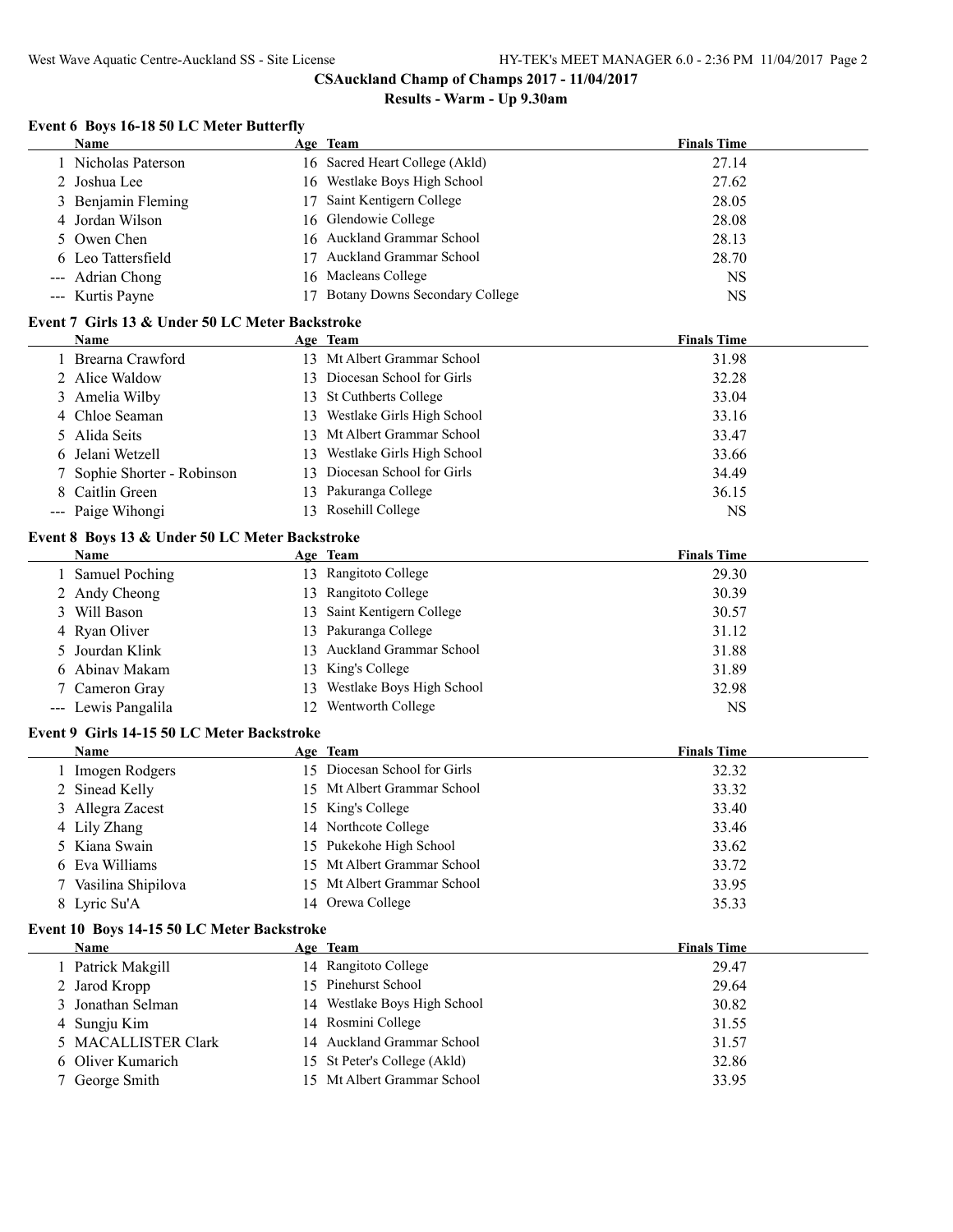# **Results - Warm - Up 9.30am**

# **Event 6 Boys 16-18 50 LC Meter Butterfly**

| Name                                                   |    | Age Team                          | <b>Finals Time</b> |
|--------------------------------------------------------|----|-----------------------------------|--------------------|
| 1 Nicholas Paterson                                    |    | 16 Sacred Heart College (Akld)    | 27.14              |
| Joshua Lee<br>2                                        |    | 16 Westlake Boys High School      | 27.62              |
| Benjamin Fleming<br>3                                  | 17 | Saint Kentigern College           | 28.05              |
| Jordan Wilson<br>4                                     | 16 | Glendowie College                 | 28.08              |
| Owen Chen<br>5.                                        |    | 16 Auckland Grammar School        | 28.13              |
| 6 Leo Tattersfield                                     |    | 17 Auckland Grammar School        | 28.70              |
| --- Adrian Chong                                       |    | 16 Macleans College               | <b>NS</b>          |
| --- Kurtis Payne                                       |    | 17 Botany Downs Secondary College | <b>NS</b>          |
|                                                        |    |                                   |                    |
| Event 7 Girls 13 & Under 50 LC Meter Backstroke        |    |                                   |                    |
| Name                                                   |    | Age Team                          | <b>Finals Time</b> |
| 1 Brearna Crawford                                     |    | 13 Mt Albert Grammar School       | 31.98              |
| 2 Alice Waldow                                         |    | 13 Diocesan School for Girls      | 32.28              |
| 3 Amelia Wilby                                         |    | 13 St Cuthberts College           | 33.04              |
| 4 Chloe Seaman                                         |    | 13 Westlake Girls High School     | 33.16              |
| Alida Seits<br>5.                                      |    | 13 Mt Albert Grammar School       | 33.47              |
| Jelani Wetzell<br>6                                    |    | 13 Westlake Girls High School     | 33.66              |
| Sophie Shorter - Robinson                              |    | 13 Diocesan School for Girls      | 34.49              |
| Caitlin Green<br>8                                     |    | 13 Pakuranga College              | 36.15              |
| --- Paige Wihongi                                      |    | 13 Rosehill College               | <b>NS</b>          |
|                                                        |    |                                   |                    |
| Event 8 Boys 13 & Under 50 LC Meter Backstroke<br>Name |    | Age Team                          | <b>Finals Time</b> |
| 1 Samuel Poching                                       |    | 13 Rangitoto College              | 29.30              |
|                                                        |    | 13 Rangitoto College              |                    |
| 2 Andy Cheong                                          |    |                                   | 30.39              |
| 3 Will Bason                                           | 13 | Saint Kentigern College           | 30.57              |
| 4 Ryan Oliver                                          |    | 13 Pakuranga College              | 31.12              |
| Jourdan Klink                                          |    | 13 Auckland Grammar School        | 31.88              |
| Abinav Makam<br>6.                                     |    | 13 King's College                 | 31.89              |
| 7 Cameron Gray                                         | 13 | Westlake Boys High School         | 32.98              |
| --- Lewis Pangalila                                    |    | 12 Wentworth College              | <b>NS</b>          |
| Event 9 Girls 14-15 50 LC Meter Backstroke             |    |                                   |                    |
| Name                                                   |    | Age Team                          | <b>Finals Time</b> |
| 1 Imogen Rodgers                                       |    | 15 Diocesan School for Girls      | 32.32              |
| 2 Sinead Kelly                                         |    | 15 Mt Albert Grammar School       | 33.32              |
| 3 Allegra Zacest                                       |    | 15 King's College                 | 33.40              |
| 4 Lily Zhang                                           |    | 14 Northcote College              | 33.46              |
| Kiana Swain<br>5.                                      |    | 15 Pukekohe High School           | 33.62              |
| Eva Williams                                           |    | 15 Mt Albert Grammar School       | 33.72              |
| 7 Vasilina Shipilova                                   |    | 15 Mt Albert Grammar School       | 33.95              |
| 8 Lyric Su'A                                           |    | 14 Orewa College                  | 35.33              |
|                                                        |    |                                   |                    |
| Event 10 Boys 14-15 50 LC Meter Backstroke             |    |                                   |                    |
| Name                                                   |    | Age Team                          | <b>Finals Time</b> |
| 1 Patrick Makgill                                      |    | 14 Rangitoto College              | 29.47              |
| 2 Jarod Kropp                                          |    | 15 Pinehurst School               | 29.64              |
| Jonathan Selman<br>3                                   |    | 14 Westlake Boys High School      | 30.82              |
| Sungju Kim<br>4                                        |    | 14 Rosmini College                | 31.55              |
| 5 MACALLISTER Clark                                    |    | 14 Auckland Grammar School        | 31.57              |
| Oliver Kumarich<br>6                                   |    | 15 St Peter's College (Akld)      | 32.86              |
| 7 George Smith                                         |    | 15 Mt Albert Grammar School       | 33.95              |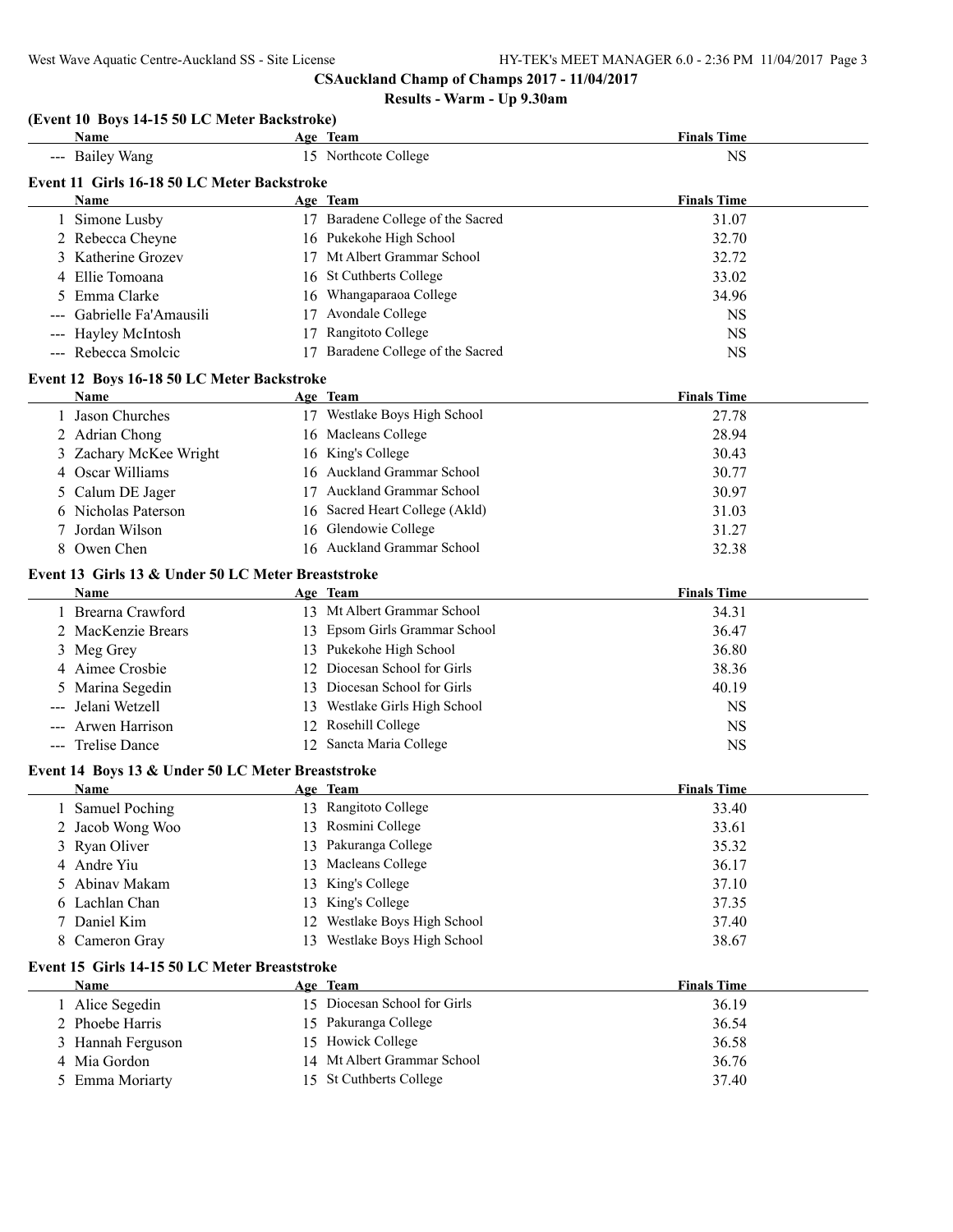|    | Name                                               |    | Age Team                          | <b>Finals Time</b> |
|----|----------------------------------------------------|----|-----------------------------------|--------------------|
|    | --- Bailey Wang                                    |    | 15 Northcote College              | <b>NS</b>          |
|    | Event 11 Girls 16-18 50 LC Meter Backstroke        |    |                                   |                    |
|    | <b>Name</b>                                        |    | Age Team                          | <b>Finals Time</b> |
|    | 1 Simone Lusby                                     |    | 17 Baradene College of the Sacred | 31.07              |
|    | 2 Rebecca Cheyne                                   |    | 16 Pukekohe High School           | 32.70              |
|    | 3 Katherine Grozev                                 |    | 17 Mt Albert Grammar School       | 32.72              |
|    | 4 Ellie Tomoana                                    |    | 16 St Cuthberts College           | 33.02              |
| 5  | Emma Clarke                                        |    | 16 Whangaparaoa College           | 34.96              |
|    | Gabrielle Fa'Amausili                              |    | 17 Avondale College               | <b>NS</b>          |
|    | --- Hayley McIntosh                                | 17 | Rangitoto College                 | <b>NS</b>          |
|    | --- Rebecca Smolcic                                |    | 17 Baradene College of the Sacred | <b>NS</b>          |
|    | Event 12 Boys 16-18 50 LC Meter Backstroke         |    |                                   |                    |
|    | <b>Name</b>                                        |    | Age Team                          | <b>Finals Time</b> |
|    | 1 Jason Churches                                   |    | 17 Westlake Boys High School      | 27.78              |
|    | 2 Adrian Chong                                     |    | 16 Macleans College               | 28.94              |
|    | 3 Zachary McKee Wright                             |    | 16 King's College                 | 30.43              |
|    | 4 Oscar Williams                                   |    | 16 Auckland Grammar School        | 30.77              |
| 5  | Calum DE Jager                                     |    | 17 Auckland Grammar School        | 30.97              |
|    | 6 Nicholas Paterson                                |    | 16 Sacred Heart College (Akld)    | 31.03              |
|    | Jordan Wilson                                      |    | 16 Glendowie College              | 31.27              |
|    | 8 Owen Chen                                        |    | 16 Auckland Grammar School        | 32.38              |
|    |                                                    |    |                                   |                    |
|    | Event 13 Girls 13 & Under 50 LC Meter Breaststroke |    |                                   |                    |
|    | <b>Name</b>                                        |    | Age Team                          | <b>Finals Time</b> |
|    | 1 Brearna Crawford                                 |    | 13 Mt Albert Grammar School       | 34.31              |
|    | 2 MacKenzie Brears                                 |    | 13 Epsom Girls Grammar School     | 36.47              |
|    | 3 Meg Grey                                         |    | 13 Pukekohe High School           | 36.80              |
|    | 4 Aimee Crosbie                                    |    | 12 Diocesan School for Girls      | 38.36              |
| 5  | Marina Segedin                                     |    | 13 Diocesan School for Girls      | 40.19              |
|    | Jelani Wetzell                                     |    | 13 Westlake Girls High School     | <b>NS</b>          |
|    | --- Arwen Harrison                                 |    | 12 Rosehill College               | <b>NS</b>          |
|    | --- Trelise Dance                                  |    | 12 Sancta Maria College           | <b>NS</b>          |
|    | Event 14 Boys 13 & Under 50 LC Meter Breaststroke  |    |                                   |                    |
|    | Name                                               |    | Age Team                          | <b>Finals Time</b> |
|    | 1 Samuel Poching                                   |    | 13 Rangitoto College              | 33.40              |
|    | 2 Jacob Wong Woo                                   |    | 13 Rosmini College                | 33.61              |
|    | Ryan Oliver                                        |    | 13 Pakuranga College              | 35.32              |
|    | 4 Andre Yiu                                        |    | 13 Macleans College               | 36.17              |
| 5. | Abinav Makam                                       |    | 13 King's College                 | 37.10              |
|    | 6 Lachlan Chan                                     |    | 13 King's College                 | 37.35              |
| 7  | Daniel Kim                                         |    | 12 Westlake Boys High School      | 37.40              |
| 8  | Cameron Gray                                       |    | 13 Westlake Boys High School      | 38.67              |
|    | Event 15 Girls 14-15 50 LC Meter Breaststroke      |    |                                   |                    |
|    | Name                                               |    | Age Team                          | <b>Finals Time</b> |
|    | 1 Alice Segedin                                    |    | 15 Diocesan School for Girls      | 36.19              |
|    | 2 Phoebe Harris                                    |    | 15 Pakuranga College              | 36.54              |
|    |                                                    |    | 15 Howick College                 |                    |
|    | 3 Hannah Ferguson                                  |    | 14 Mt Albert Grammar School       | 36.58              |
|    | 4 Mia Gordon                                       |    |                                   | 36.76              |
| 5  | Emma Moriarty                                      |    | 15 St Cuthberts College           | 37.40              |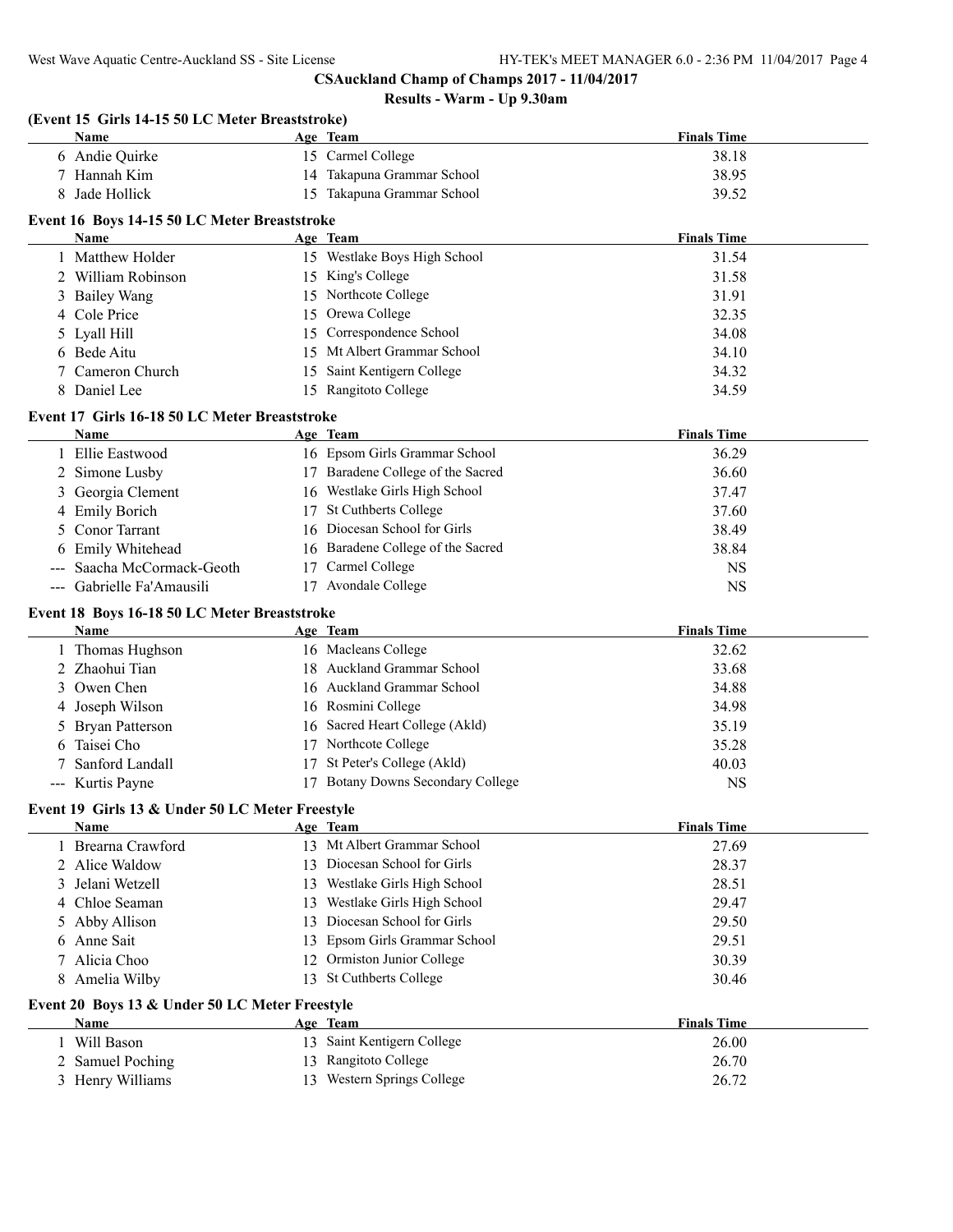| (Event 15 Girls 14-15 50 LC Meter Breaststroke)<br>Name                                                                             |    | Age Team                                             | <b>Finals Time</b> |
|-------------------------------------------------------------------------------------------------------------------------------------|----|------------------------------------------------------|--------------------|
| 6 Andie Quirke                                                                                                                      |    | 15 Carmel College                                    | 38.18              |
| 7 Hannah Kim                                                                                                                        |    | 14 Takapuna Grammar School                           | 38.95              |
| Jade Hollick                                                                                                                        |    | 15 Takapuna Grammar School                           | 39.52              |
|                                                                                                                                     |    |                                                      |                    |
| Event 16 Boys 14-15 50 LC Meter Breaststroke                                                                                        |    |                                                      | <b>Finals Time</b> |
| Name                                                                                                                                |    | Age Team<br>15 Westlake Boys High School             |                    |
| 1 Matthew Holder                                                                                                                    |    |                                                      | 31.54              |
| 2 William Robinson                                                                                                                  |    | 15 King's College<br>15 Northcote College            | 31.58              |
| 3 Bailey Wang<br>4 Cole Price                                                                                                       |    |                                                      | 31.91              |
|                                                                                                                                     |    | 15 Orewa College                                     | 32.35              |
| Lyall Hill<br>5                                                                                                                     | 15 | Correspondence School<br>15 Mt Albert Grammar School | 34.08              |
| Bede Aitu                                                                                                                           |    |                                                      | 34.10              |
| Cameron Church                                                                                                                      | 15 | Saint Kentigern College                              | 34.32              |
| Daniel Lee<br>8                                                                                                                     |    | 15 Rangitoto College                                 | 34.59              |
| Event 17 Girls 16-18 50 LC Meter Breaststroke                                                                                       |    |                                                      |                    |
| <b>Name</b>                                                                                                                         |    | Age Team                                             | <b>Finals Time</b> |
| 1 Ellie Eastwood                                                                                                                    |    | 16 Epsom Girls Grammar School                        | 36.29              |
| 2 Simone Lusby                                                                                                                      |    | 17 Baradene College of the Sacred                    | 36.60              |
| 3 Georgia Clement                                                                                                                   |    | 16 Westlake Girls High School                        | 37.47              |
| 4 Emily Borich                                                                                                                      |    | 17 St Cuthberts College                              | 37.60              |
| <b>Conor Tarrant</b>                                                                                                                |    | 16 Diocesan School for Girls                         | 38.49              |
| Emily Whitehead                                                                                                                     |    | 16 Baradene College of the Sacred                    | 38.84              |
| --- Saacha McCormack-Geoth                                                                                                          | 17 | Carmel College                                       | <b>NS</b>          |
| --- Gabrielle Fa'Amausili                                                                                                           |    | 17 Avondale College                                  | <b>NS</b>          |
| Event 18 Boys 16-18 50 LC Meter Breaststroke                                                                                        |    |                                                      |                    |
| Name                                                                                                                                |    | Age Team                                             | <b>Finals Time</b> |
| 1 Thomas Hughson                                                                                                                    |    | 16 Macleans College                                  | 32.62              |
| 2 Zhaohui Tian                                                                                                                      |    | 18 Auckland Grammar School                           | 33.68              |
| Owen Chen<br>3                                                                                                                      |    | 16 Auckland Grammar School                           | 34.88              |
| 4 Joseph Wilson                                                                                                                     |    | 16 Rosmini College                                   | 34.98              |
| <b>Bryan Patterson</b>                                                                                                              |    | 16 Sacred Heart College (Akld)                       | 35.19              |
|                                                                                                                                     |    |                                                      |                    |
| Taisei Cho                                                                                                                          |    | 17 Northcote College                                 | 35.28              |
| Sanford Landall                                                                                                                     |    | 17 St Peter's College (Akld)                         | 40.03              |
| --- Kurtis Payne                                                                                                                    |    | 17 Botany Downs Secondary College                    | <b>NS</b>          |
|                                                                                                                                     |    |                                                      |                    |
| Name                                                                                                                                |    | Age Team                                             | <b>Finals Time</b> |
| 1 Brearna Crawford                                                                                                                  |    | 13 Mt Albert Grammar School                          | 27.69              |
| 2 Alice Waldow                                                                                                                      |    | 13 Diocesan School for Girls                         | 28.37              |
| Jelani Wetzell<br>3                                                                                                                 |    | 13 Westlake Girls High School                        | 28.51              |
| Chloe Seaman<br>4                                                                                                                   | 13 | Westlake Girls High School                           | 29.47              |
| Abby Allison<br>5                                                                                                                   | 13 | Diocesan School for Girls                            | 29.50              |
| Anne Sait<br>6                                                                                                                      | 13 | Epsom Girls Grammar School                           | 29.51              |
| Alicia Choo                                                                                                                         | 12 | Ormiston Junior College                              | 30.39              |
| Amelia Wilby<br>8                                                                                                                   | 13 | <b>St Cuthberts College</b>                          | 30.46              |
|                                                                                                                                     |    |                                                      |                    |
| <b>Name</b>                                                                                                                         |    | Age Team                                             | <b>Finals Time</b> |
|                                                                                                                                     |    | 13 Saint Kentigern College                           |                    |
| Event 19 Girls 13 & Under 50 LC Meter Freestyle<br>Event 20 Boys 13 & Under 50 LC Meter Freestyle<br>1 Will Bason<br>Samuel Poching |    | 13 Rangitoto College                                 | 26.00<br>26.70     |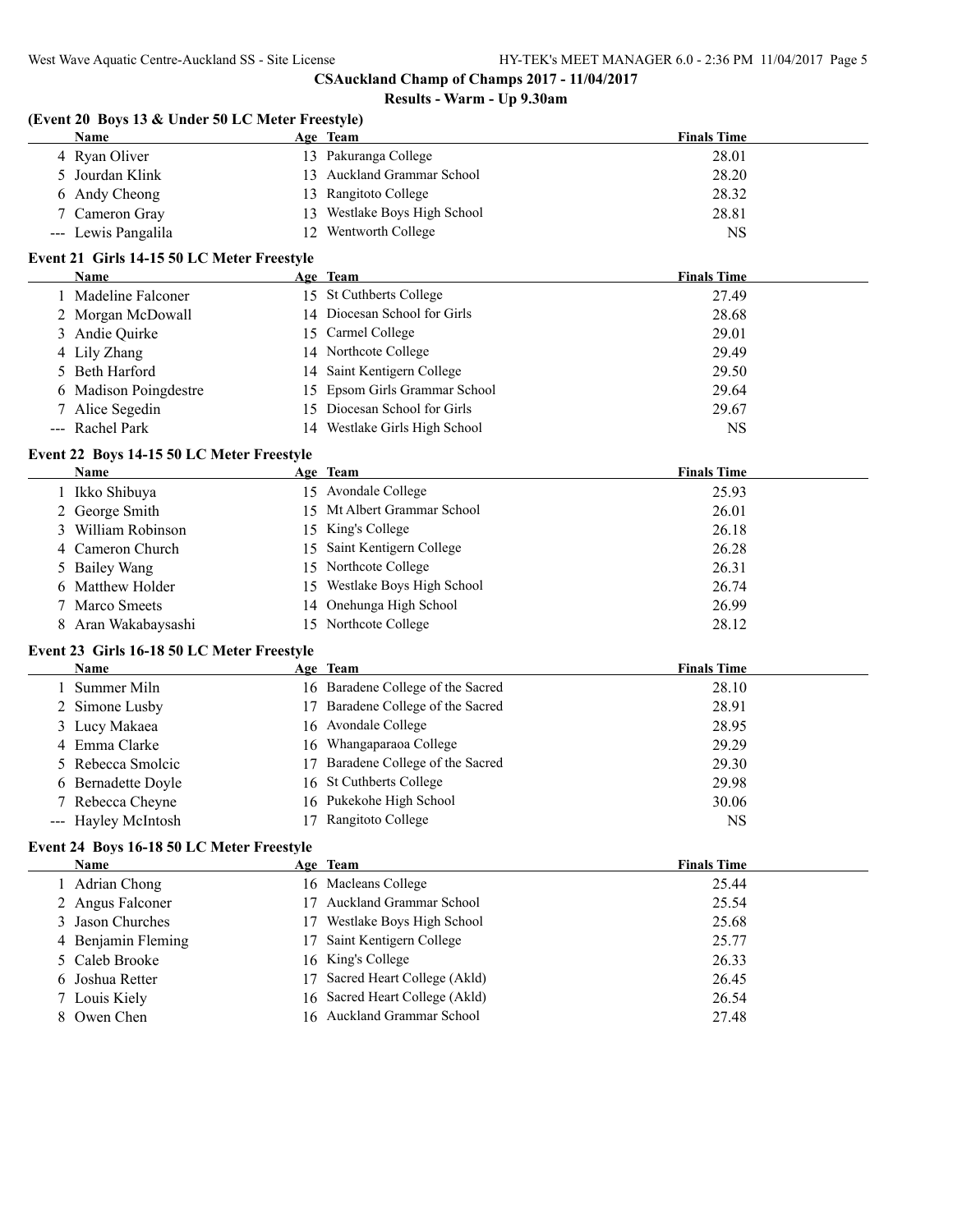# **Results - Warm - Up 9.30am**

#### **(Event 20 Boys 13 & Under 50 LC Meter Freestyle)**

| <b>Name</b>         | Age Team                         | <b>Finals Time</b> |
|---------------------|----------------------------------|--------------------|
| 4 Ryan Oliver       | 13 Pakuranga College             | 28.01              |
| 5 Jourdan Klink     | 13 Auckland Grammar School       | 28.20              |
| 6 Andy Cheong       | 13 Rangitoto College             | 28.32              |
| 7 Cameron Gray      | Westlake Boys High School<br>  3 | 28.81              |
| --- Lewis Pangalila | Wentworth College                | NS                 |

# **Event 21 Girls 14-15 50 LC Meter Freestyle**

| <b>Name</b>           | Age Team                         | <b>Finals Time</b> |
|-----------------------|----------------------------------|--------------------|
| 1 Madeline Falconer   | 15 St Cuthberts College          | 27.49              |
| 2 Morgan McDowall     | 14 Diocesan School for Girls     | 28.68              |
| 3 Andie Quirke        | 15 Carmel College                | 29.01              |
| 4 Lily Zhang          | 14 Northcote College             | 29.49              |
| 5 Beth Harford        | 14 Saint Kentigern College       | 29.50              |
| 6 Madison Poingdestre | 15 Epsom Girls Grammar School    | 29.64              |
| 7 Alice Segedin       | 15 Diocesan School for Girls     | 29.67              |
| --- Rachel Park       | Westlake Girls High School<br>14 | <b>NS</b>          |

#### **Event 22 Boys 14-15 50 LC Meter Freestyle**

 $\overline{\phantom{a}}$ 

| <b>Name</b>         | Age Team                     | <b>Finals Time</b> |
|---------------------|------------------------------|--------------------|
| 1 Ikko Shibuya      | 15 Avondale College          | 25.93              |
| 2 George Smith      | 15 Mt Albert Grammar School  | 26.01              |
| 3 William Robinson  | 15 King's College            | 26.18              |
| 4 Cameron Church    | 15 Saint Kentigern College   | 26.28              |
| 5 Bailey Wang       | 15 Northcote College         | 26.31              |
| 6 Matthew Holder    | 15 Westlake Boys High School | 26.74              |
| 7 Marco Smeets      | 14 Onehunga High School      | 26.99              |
| 8 Aran Wakabaysashi | 15 Northcote College         | 28.12              |

# **Event 23 Girls 16-18 50 LC Meter Freestyle**

| Name                |     | Age Team                          | <b>Finals Time</b> |
|---------------------|-----|-----------------------------------|--------------------|
| 1 Summer Miln       |     | 16 Baradene College of the Sacred | 28.10              |
| 2 Simone Lusby      | 17. | Baradene College of the Sacred    | 28.91              |
| 3 Lucy Makaea       |     | 16 Avondale College               | 28.95              |
| 4 Emma Clarke       |     | 16 Whangaparaoa College           | 29.29              |
| 5 Rebecca Smolcic   | 17. | Baradene College of the Sacred    | 29.30              |
| 6 Bernadette Doyle  |     | 16 St Cuthberts College           | 29.98              |
| 7 Rebecca Cheyne    |     | 16 Pukekohe High School           | 30.06              |
| --- Hayley McIntosh |     | Rangitoto College                 | NS                 |

# **Event 24 Boys 16-18 50 LC Meter Freestyle**

| <b>Name</b>        | Age Team                           | <b>Finals Time</b> |
|--------------------|------------------------------------|--------------------|
| 1 Adrian Chong     | 16 Macleans College                | 25.44              |
| 2 Angus Falconer   | <b>Auckland Grammar School</b>     | 25.54              |
| 3 Jason Churches   | Westlake Boys High School          | 25.68              |
| 4 Benjamin Fleming | Saint Kentigern College<br>17      | 25.77              |
| 5 Caleb Brooke     | 16 King's College                  | 26.33              |
| 6 Joshua Retter    | Sacred Heart College (Akld)<br>17. | 26.45              |
| 7 Louis Kiely      | 16 Sacred Heart College (Akld)     | 26.54              |
| 8 Owen Chen        | 16 Auckland Grammar School         | 27.48              |
|                    |                                    |                    |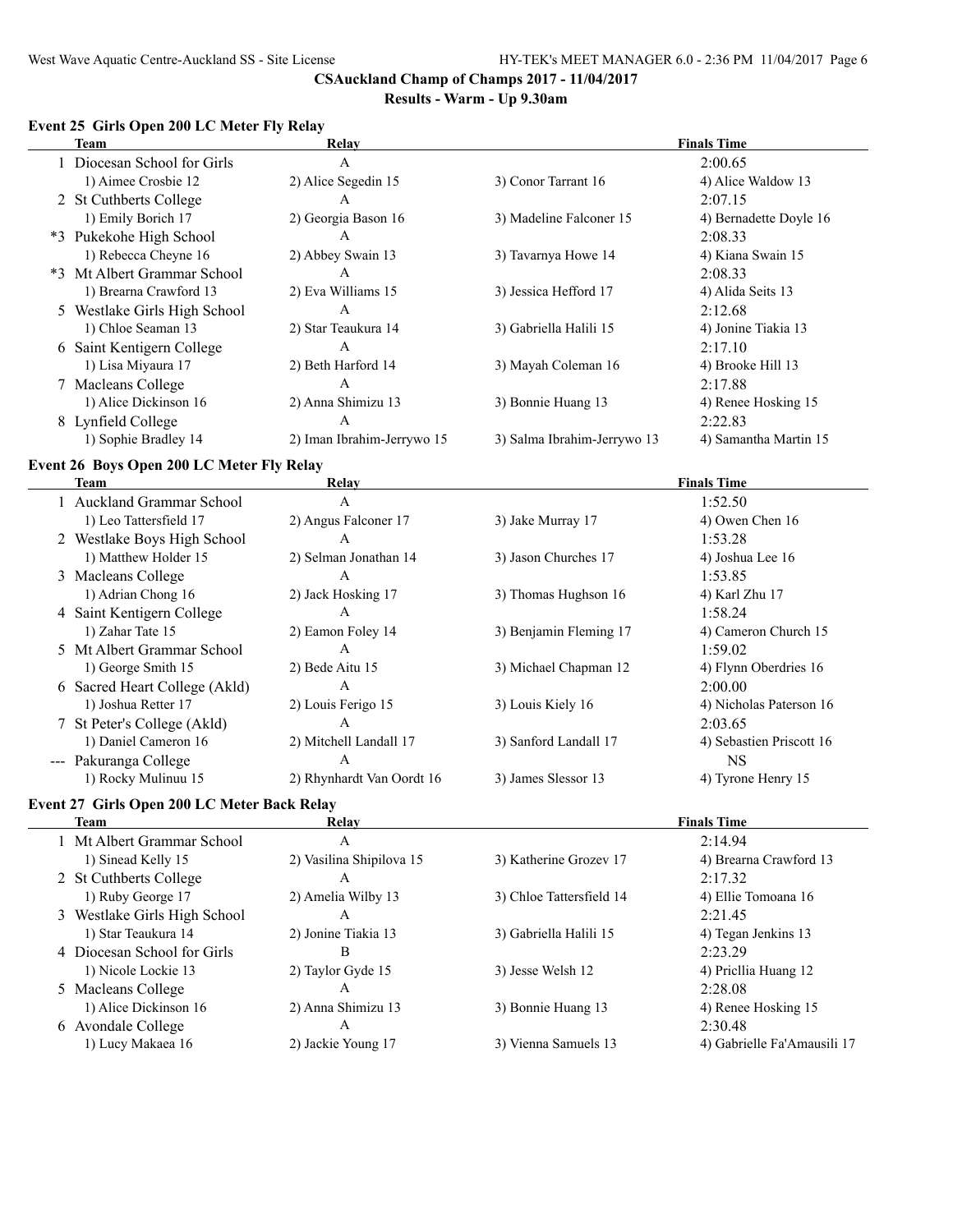#### **Results - Warm - Up 9.30am**

# **Event 25 Girls Open 200 LC Meter Fly Relay**

| Team |                              | Relay                      | <b>Finals Time</b>          |                        |  |  |
|------|------------------------------|----------------------------|-----------------------------|------------------------|--|--|
|      | 1 Diocesan School for Girls  | A                          |                             | 2:00.65                |  |  |
|      | 1) Aimee Crosbie 12          | 2) Alice Segedin 15        | 3) Conor Tarrant 16         | 4) Alice Waldow 13     |  |  |
|      | 2 St Cuthberts College       | А                          |                             | 2:07.15                |  |  |
|      | 1) Emily Borich 17           | 2) Georgia Bason 16        | 3) Madeline Falconer 15     | 4) Bernadette Doyle 16 |  |  |
|      | *3 Pukekohe High School      | А                          |                             | 2:08.33                |  |  |
|      | 1) Rebecca Cheyne 16         | 2) Abbey Swain 13          | 3) Tavarnya Howe 14         | 4) Kiana Swain 15      |  |  |
|      | *3 Mt Albert Grammar School  | A                          |                             | 2:08.33                |  |  |
|      | 1) Brearna Crawford 13       | 2) Eva Williams 15         | 3) Jessica Hefford 17       | 4) Alida Seits 13      |  |  |
|      | 5 Westlake Girls High School | A                          |                             | 2:12.68                |  |  |
|      | 1) Chloe Seaman 13           | 2) Star Teaukura 14        | 3) Gabriella Halili 15      | 4) Jonine Tiakia 13    |  |  |
|      | 6 Saint Kentigern College    | A                          |                             | 2:17.10                |  |  |
|      | 1) Lisa Miyaura 17           | 2) Beth Harford 14         | 3) Mayah Coleman 16         | 4) Brooke Hill 13      |  |  |
|      | 7 Macleans College           | A                          |                             | 2:17.88                |  |  |
|      | 1) Alice Dickinson 16        | 2) Anna Shimizu 13         | 3) Bonnie Huang 13          | 4) Renee Hosking 15    |  |  |
|      | 8 Lynfield College           | А                          |                             | 2:22.83                |  |  |
|      | 1) Sophie Bradley 14         | 2) Iman Ibrahim-Jerrywo 15 | 3) Salma Ibrahim-Jerrywo 13 | 4) Samantha Martin 15  |  |  |

# **Event 26 Boys Open 200 LC Meter Fly Relay**

| Team |                               | Relay                     | <b>Finals Time</b>     |                          |  |  |
|------|-------------------------------|---------------------------|------------------------|--------------------------|--|--|
|      | 1 Auckland Grammar School     | A                         |                        | 1:52.50                  |  |  |
|      | 1) Leo Tattersfield 17        | 2) Angus Falconer 17      | 3) Jake Murray 17      | 4) Owen Chen 16          |  |  |
|      | 2 Westlake Boys High School   | A                         |                        | 1:53.28                  |  |  |
|      | 1) Matthew Holder 15          | 2) Selman Jonathan 14     | 3) Jason Churches 17   | 4) Joshua Lee 16         |  |  |
|      | 3 Macleans College            | A                         |                        | 1:53.85                  |  |  |
|      | 1) Adrian Chong 16            | 2) Jack Hosking 17        | 3) Thomas Hughson 16   | 4) Karl Zhu 17           |  |  |
|      | 4 Saint Kentigern College     | A                         |                        | 1:58.24                  |  |  |
|      | 1) Zahar Tate 15              | 2) Eamon Foley 14         | 3) Benjamin Fleming 17 | 4) Cameron Church 15     |  |  |
|      | 5 Mt Albert Grammar School    | A                         |                        | 1:59.02                  |  |  |
|      | 1) George Smith 15            | 2) Bede Aitu 15           | 3) Michael Chapman 12  | 4) Flynn Oberdries 16    |  |  |
|      | 6 Sacred Heart College (Akld) | A                         |                        | 2:00.00                  |  |  |
|      | 1) Joshua Retter 17           | 2) Louis Ferigo 15        | 3) Louis Kiely 16      | 4) Nicholas Paterson 16  |  |  |
|      | 7 St Peter's College (Akld)   | A                         |                        | 2:03.65                  |  |  |
|      | 1) Daniel Cameron 16          | 2) Mitchell Landall 17    | 3) Sanford Landall 17  | 4) Sebastien Priscott 16 |  |  |
|      | --- Pakuranga College         | A                         |                        | NS.                      |  |  |
|      | 1) Rocky Mulinuu 15           | 2) Rhynhardt Van Oordt 16 | 3) James Slessor 13    | 4) Tyrone Henry 15       |  |  |

#### **Event 27 Girls Open 200 LC Meter Back Relay**

 $\sim$ 

| Relay                    |                          | <b>Finals Time</b>          |
|--------------------------|--------------------------|-----------------------------|
| А                        |                          | 2:14.94                     |
| 2) Vasilina Shipilova 15 | 3) Katherine Grozev 17   | 4) Brearna Crawford 13      |
| А                        |                          | 2:17.32                     |
| 2) Amelia Wilby 13       | 3) Chloe Tattersfield 14 | 4) Ellie Tomoana 16         |
| А                        |                          | 2:21.45                     |
| 2) Jonine Tiakia 13      | 3) Gabriella Halili 15   | 4) Tegan Jenkins 13         |
| В                        |                          | 2:23.29                     |
| 2) Taylor Gyde 15        | 3) Jesse Welsh 12        | 4) Pricilia Huang 12        |
| A                        |                          | 2:28.08                     |
| 2) Anna Shimizu 13       | 3) Bonnie Huang 13       | 4) Renee Hosking 15         |
| А                        |                          | 2:30.48                     |
| 2) Jackie Young 17       | 3) Vienna Samuels 13     | 4) Gabrielle Fa'Amausili 17 |
|                          |                          |                             |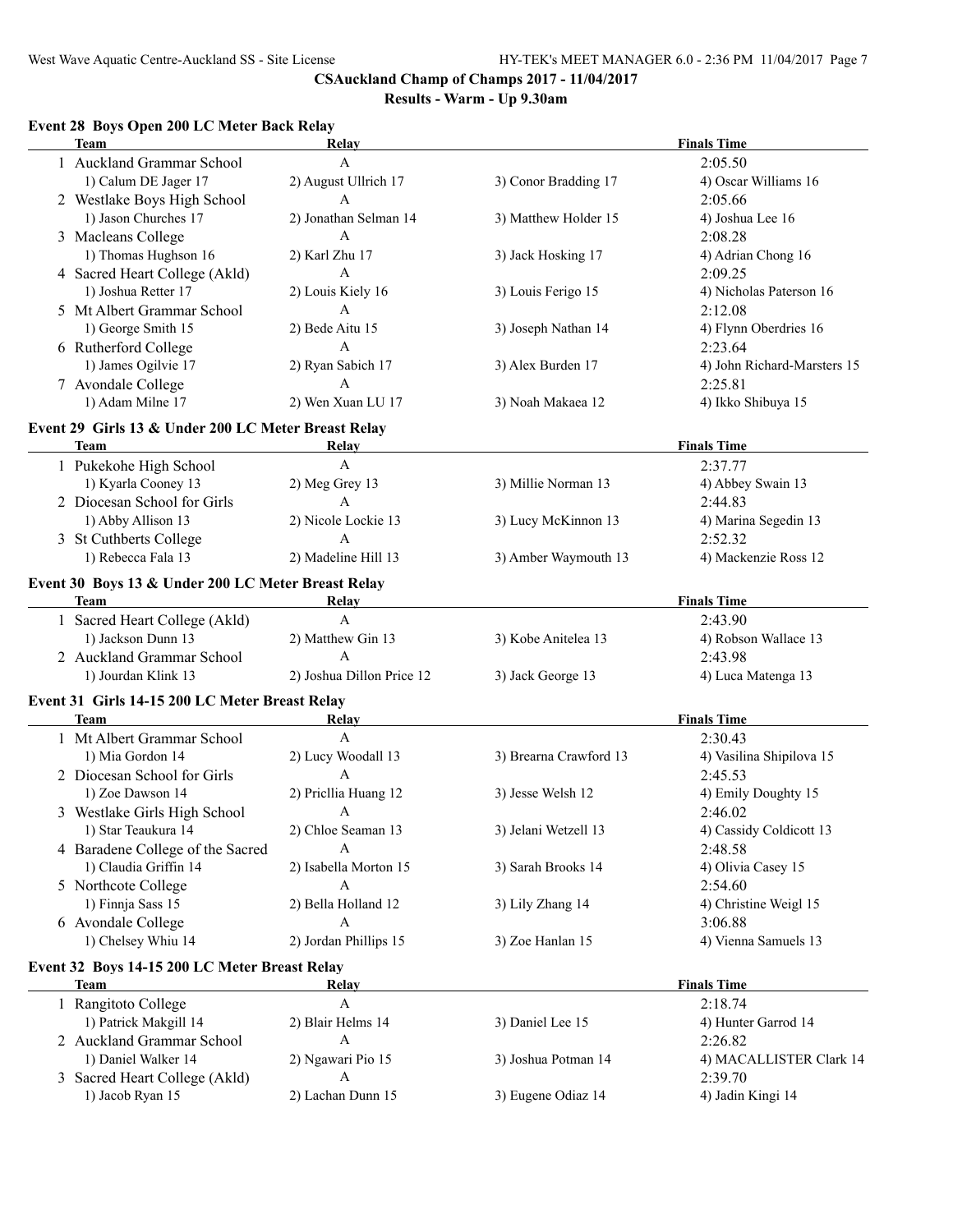# **Results - Warm - Up 9.30am**

# **Event 28 Boys Open 200 LC Meter Back Relay**

| <b>Team</b>                                         | Relay                     |                        | <b>Finals Time</b>          |
|-----------------------------------------------------|---------------------------|------------------------|-----------------------------|
| 1 Auckland Grammar School                           | $\mathbf{A}$              |                        | 2:05.50                     |
| 1) Calum DE Jager 17                                | 2) August Ullrich 17      | 3) Conor Bradding 17   | 4) Oscar Williams 16        |
| 2 Westlake Boys High School                         | $\mathbf{A}$              |                        | 2:05.66                     |
| 1) Jason Churches 17                                | 2) Jonathan Selman 14     | 3) Matthew Holder 15   | 4) Joshua Lee 16            |
| 3 Macleans College                                  | A                         |                        | 2:08.28                     |
| 1) Thomas Hughson 16                                | 2) Karl Zhu 17            | 3) Jack Hosking 17     | 4) Adrian Chong 16          |
| 4 Sacred Heart College (Akld)                       | $\mathbf{A}$              |                        | 2:09.25                     |
| 1) Joshua Retter 17                                 | 2) Louis Kiely 16         | 3) Louis Ferigo 15     | 4) Nicholas Paterson 16     |
| 5 Mt Albert Grammar School                          | $\mathbf{A}$              |                        | 2:12.08                     |
|                                                     | 2) Bede Aitu 15           |                        | 4) Flynn Oberdries 16       |
| 1) George Smith 15                                  |                           | 3) Joseph Nathan 14    |                             |
| 6 Rutherford College                                | $\mathbf{A}$              |                        | 2:23.64                     |
| 1) James Ogilvie 17                                 | 2) Ryan Sabich 17         | 3) Alex Burden 17      | 4) John Richard-Marsters 15 |
| 7 Avondale College                                  | A                         |                        | 2:25.81                     |
| 1) Adam Milne 17                                    | 2) Wen Xuan LU 17         | 3) Noah Makaea 12      | 4) Ikko Shibuya 15          |
| Event 29 Girls 13 & Under 200 LC Meter Breast Relay |                           |                        |                             |
| <b>Team</b>                                         | Relay                     |                        | <b>Finals Time</b>          |
| 1 Pukekohe High School                              | $\overline{A}$            |                        | 2:37.77                     |
| 1) Kyarla Cooney 13                                 | 2) Meg Grey 13            | 3) Millie Norman 13    | 4) Abbey Swain 13           |
| 2 Diocesan School for Girls                         | $\mathsf{A}$              |                        | 2:44.83                     |
| 1) Abby Allison 13                                  | 2) Nicole Lockie 13       | 3) Lucy McKinnon 13    | 4) Marina Segedin 13        |
| 3 St Cuthberts College                              | $\overline{A}$            |                        | 2:52.32                     |
| 1) Rebecca Fala 13                                  | 2) Madeline Hill 13       | 3) Amber Waymouth 13   | 4) Mackenzie Ross 12        |
|                                                     |                           |                        |                             |
| Event 30 Boys 13 & Under 200 LC Meter Breast Relay  |                           |                        |                             |
| <b>Team</b>                                         | Relay                     |                        | <b>Finals Time</b>          |
| 1 Sacred Heart College (Akld)                       | $\overline{A}$            |                        | 2:43.90                     |
| 1) Jackson Dunn 13                                  | 2) Matthew Gin 13         | 3) Kobe Anitelea 13    | 4) Robson Wallace 13        |
| 2 Auckland Grammar School                           | $\overline{A}$            |                        | 2:43.98                     |
| 1) Jourdan Klink 13                                 | 2) Joshua Dillon Price 12 | 3) Jack George 13      | 4) Luca Matenga 13          |
| Event 31 Girls 14-15 200 LC Meter Breast Relay      |                           |                        |                             |
| Team                                                | Relay                     |                        | <b>Finals Time</b>          |
| 1 Mt Albert Grammar School                          | $\mathbf{A}$              |                        | 2:30.43                     |
| 1) Mia Gordon 14                                    | 2) Lucy Woodall 13        | 3) Brearna Crawford 13 | 4) Vasilina Shipilova 15    |
| 2 Diocesan School for Girls                         | A                         |                        | 2:45.53                     |
| 1) Zoe Dawson 14                                    | 2) Pricllia Huang 12      | 3) Jesse Welsh 12      | 4) Emily Doughty 15         |
|                                                     |                           |                        |                             |
| 3 Westlake Girls High School                        | A                         |                        | 2:46.02                     |
| 1) Star Teaukura 14                                 | 2) Chloe Seaman 13        | 3) Jelani Wetzell 13   | 4) Cassidy Coldicott 13     |
| 4 Baradene College of the Sacred                    | A                         |                        | 2:48.58                     |
| 1) Claudia Griffin 14                               | 2) Isabella Morton 15     | 3) Sarah Brooks 14     | 4) Olivia Casey 15          |
| 5 Northcote College                                 | A                         |                        | 2:54.60                     |
| 1) Finnja Sass 15                                   | 2) Bella Holland 12       | 3) Lily Zhang 14       | 4) Christine Weigl 15       |
| 6 Avondale College                                  | A                         |                        | 3:06.88                     |
| 1) Chelsey Whiu 14                                  | 2) Jordan Phillips 15     | 3) Zoe Hanlan 15       | 4) Vienna Samuels 13        |
| Event 32 Boys 14-15 200 LC Meter Breast Relay       |                           |                        |                             |
| Team                                                | Relay                     |                        | <b>Finals Time</b>          |
| 1 Rangitoto College                                 | $\mathbf{A}$              |                        | 2:18.74                     |
| 1) Patrick Makgill 14                               | 2) Blair Helms 14         | 3) Daniel Lee 15       | 4) Hunter Garrod 14         |
| 2 Auckland Grammar School                           | $\mathbf{A}$              |                        | 2:26.82                     |
| 1) Daniel Walker 14                                 | 2) Ngawari Pio 15         | 3) Joshua Potman 14    | 4) MACALLISTER Clark 14     |
| 3 Sacred Heart College (Akld)                       | $\mathbf{A}$              |                        | 2:39.70                     |
| 1) Jacob Ryan 15                                    | 2) Lachan Dunn 15         | 3) Eugene Odiaz 14     | 4) Jadin Kingi 14           |
|                                                     |                           |                        |                             |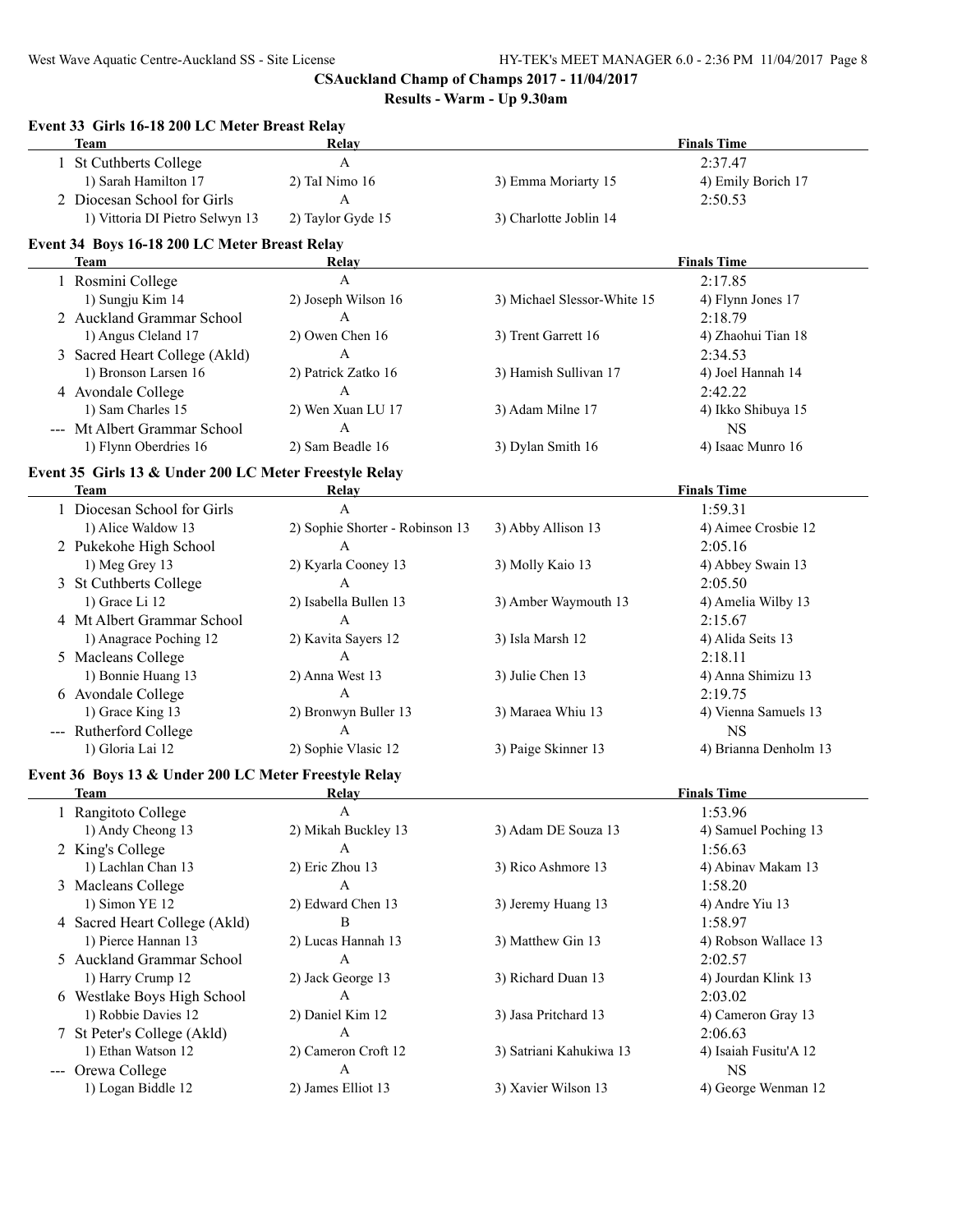| Event 33 Girls 16-18 200 LC Meter Breast Relay<br><b>Team</b> | <b>Relay</b>                    |                             | <b>Finals Time</b>              |
|---------------------------------------------------------------|---------------------------------|-----------------------------|---------------------------------|
| 1 St Cuthberts College                                        | $\mathbf{A}$                    |                             | 2:37.47                         |
| 1) Sarah Hamilton 17                                          | 2) TaI Nimo 16                  | 3) Emma Moriarty 15         | 4) Emily Borich 17              |
| 2 Diocesan School for Girls                                   | A                               |                             | 2:50.53                         |
| 1) Vittoria DI Pietro Selwyn 13                               | 2) Taylor Gyde 15               | 3) Charlotte Joblin 14      |                                 |
|                                                               |                                 |                             |                                 |
| Event 34 Boys 16-18 200 LC Meter Breast Relay<br><b>Team</b>  | Relay                           |                             | <b>Finals Time</b>              |
| 1 Rosmini College                                             | $\mathbf{A}$                    |                             | 2:17.85                         |
| 1) Sungju Kim 14                                              | 2) Joseph Wilson 16             | 3) Michael Slessor-White 15 | 4) Flynn Jones 17               |
| 2 Auckland Grammar School                                     | $\boldsymbol{\mathsf{A}}$       |                             | 2:18.79                         |
| 1) Angus Cleland 17                                           | 2) Owen Chen 16                 | 3) Trent Garrett 16         | 4) Zhaohui Tian 18              |
| 3 Sacred Heart College (Akld)                                 | $\mathbf{A}$                    |                             | 2:34.53                         |
| 1) Bronson Larsen 16                                          | 2) Patrick Zatko 16             | 3) Hamish Sullivan 17       | 4) Joel Hannah 14               |
| 4 Avondale College                                            | $\mathbf{A}$                    |                             | 2:42.22                         |
| 1) Sam Charles 15                                             | 2) Wen Xuan LU 17               |                             |                                 |
| --- Mt Albert Grammar School                                  | $\mathbf{A}$                    | 3) Adam Milne 17            | 4) Ikko Shibuya 15<br><b>NS</b> |
|                                                               | 2) Sam Beadle 16                |                             |                                 |
| 1) Flynn Oberdries 16                                         |                                 | 3) Dylan Smith 16           | 4) Isaac Munro 16               |
| Event 35 Girls 13 & Under 200 LC Meter Freestyle Relay        |                                 |                             |                                 |
| Team                                                          | Relay                           |                             | <b>Finals Time</b>              |
| 1 Diocesan School for Girls                                   | A                               |                             | 1:59.31                         |
| 1) Alice Waldow 13                                            | 2) Sophie Shorter - Robinson 13 | 3) Abby Allison 13          | 4) Aimee Crosbie 12             |
| 2 Pukekohe High School                                        | A                               |                             | 2:05.16                         |
| 1) Meg Grey 13                                                | 2) Kyarla Cooney 13             | 3) Molly Kaio 13            | 4) Abbey Swain 13               |
| 3 St Cuthberts College                                        | A                               |                             | 2:05.50                         |
| 1) Grace Li 12                                                | 2) Isabella Bullen 13           | 3) Amber Waymouth 13        | 4) Amelia Wilby 13              |
| 4 Mt Albert Grammar School                                    | A                               |                             | 2:15.67                         |
| 1) Anagrace Poching 12                                        | 2) Kavita Sayers 12             | 3) Isla Marsh 12            | 4) Alida Seits 13               |
| 5 Macleans College                                            | A                               |                             | 2:18.11                         |
| 1) Bonnie Huang 13                                            | 2) Anna West 13                 | 3) Julie Chen 13            | 4) Anna Shimizu 13              |
| 6 Avondale College                                            | A                               |                             | 2:19.75                         |
| 1) Grace King 13                                              | 2) Bronwyn Buller 13            | 3) Maraea Whiu 13           | 4) Vienna Samuels 13            |
| --- Rutherford College                                        | $\mathbf{A}$                    |                             | <b>NS</b>                       |
| 1) Gloria Lai 12                                              | 2) Sophie Vlasic 12             | 3) Paige Skinner 13         | 4) Brianna Denholm 13           |
| Event 36 Boys 13 & Under 200 LC Meter Freestyle Relay         |                                 |                             |                                 |
| <b>Team</b>                                                   | Relay                           |                             | <b>Finals Time</b>              |
| 1 Rangitoto College                                           | A                               |                             | 1:53.96                         |
| 1) Andy Cheong 13                                             | 2) Mikah Buckley 13             | 3) Adam DE Souza 13         | 4) Samuel Poching 13            |
| 2 King's College                                              | A                               |                             | 1:56.63                         |
| 1) Lachlan Chan 13                                            | 2) Eric Zhou 13                 | 3) Rico Ashmore 13          | 4) Abinav Makam 13              |
| 3 Macleans College                                            | A                               |                             | 1:58.20                         |
| 1) Simon YE 12                                                | 2) Edward Chen 13               | 3) Jeremy Huang 13          | 4) Andre Yiu 13                 |
| 4 Sacred Heart College (Akld)                                 | В                               |                             | 1:58.97                         |
| 1) Pierce Hannan 13                                           | 2) Lucas Hannah 13              | 3) Matthew Gin 13           | 4) Robson Wallace 13            |
| 5 Auckland Grammar School                                     | A                               |                             | 2:02.57                         |
| 1) Harry Crump 12                                             | 2) Jack George 13               | 3) Richard Duan 13          | 4) Jourdan Klink 13             |
| 6 Westlake Boys High School                                   | A                               |                             | 2:03.02                         |
| 1) Robbie Davies 12                                           | 2) Daniel Kim 12                | 3) Jasa Pritchard 13        | 4) Cameron Gray 13              |
| 7 St Peter's College (Akld)                                   | A                               |                             | 2:06.63                         |
| 1) Ethan Watson 12                                            | 2) Cameron Croft 12             | 3) Satriani Kahukiwa 13     | 4) Isaiah Fusitu'A 12           |
| --- Orewa College                                             | A                               |                             | <b>NS</b>                       |
|                                                               |                                 |                             |                                 |
| 1) Logan Biddle 12                                            | 2) James Elliot 13              | 3) Xavier Wilson 13         | 4) George Wenman 12             |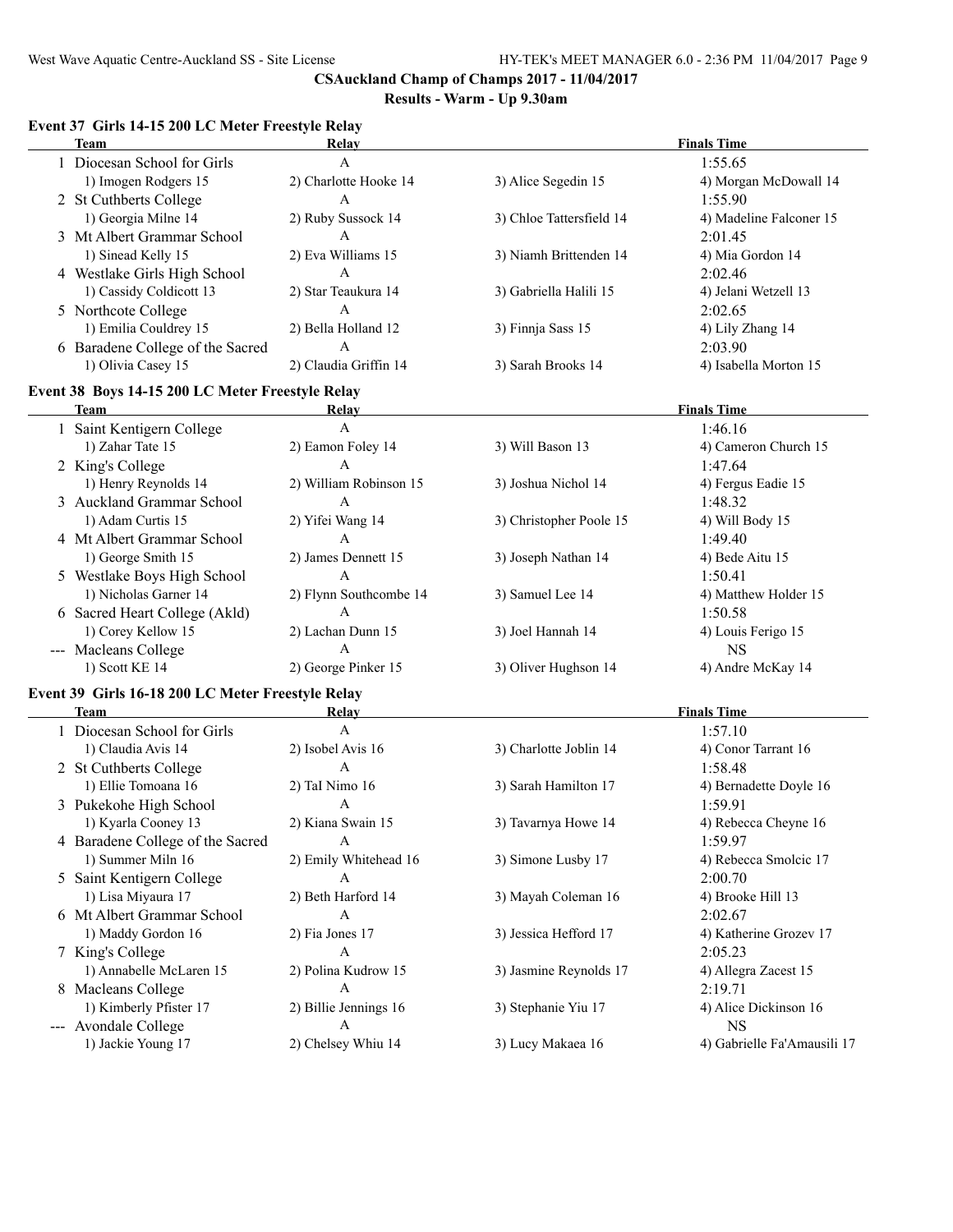| Event 37 Girls 14-15 200 LC Meter Freestyle Relay |                           |                          |                             |
|---------------------------------------------------|---------------------------|--------------------------|-----------------------------|
| <b>Team</b>                                       | Relay                     |                          | <b>Finals Time</b>          |
| 1 Diocesan School for Girls                       | $\boldsymbol{\mathsf{A}}$ |                          | 1:55.65                     |
| 1) Imogen Rodgers 15                              | 2) Charlotte Hooke 14     | 3) Alice Segedin 15      | 4) Morgan McDowall 14       |
| 2 St Cuthberts College                            | A                         |                          | 1:55.90                     |
| 1) Georgia Milne 14                               | 2) Ruby Sussock 14        | 3) Chloe Tattersfield 14 | 4) Madeline Falconer 15     |
| 3 Mt Albert Grammar School                        | $\mathsf{A}$              |                          | 2:01.45                     |
| 1) Sinead Kelly 15                                | 2) Eva Williams 15        | 3) Niamh Brittenden 14   | 4) Mia Gordon 14            |
| 4 Westlake Girls High School                      | $\mathbf{A}$              |                          | 2:02.46                     |
| 1) Cassidy Coldicott 13                           | 2) Star Teaukura 14       | 3) Gabriella Halili 15   | 4) Jelani Wetzell 13        |
| 5 Northcote College                               | $\mathbf{A}$              |                          | 2:02.65                     |
| 1) Emilia Couldrey 15                             | 2) Bella Holland 12       | 3) Finnja Sass 15        | 4) Lily Zhang 14            |
| 6 Baradene College of the Sacred                  | $\mathbf{A}$              |                          | 2:03.90                     |
| 1) Olivia Casey 15                                | 2) Claudia Griffin 14     | 3) Sarah Brooks 14       | 4) Isabella Morton 15       |
| Event 38 Boys 14-15 200 LC Meter Freestyle Relay  |                           |                          |                             |
| <b>Team</b>                                       | Relay                     |                          | <b>Finals Time</b>          |
| 1 Saint Kentigern College                         | A                         |                          | 1:46.16                     |
| 1) Zahar Tate 15                                  | 2) Eamon Foley 14         | 3) Will Bason 13         | 4) Cameron Church 15        |
| 2 King's College                                  | A                         |                          | 1:47.64                     |
| 1) Henry Reynolds 14                              | 2) William Robinson 15    | 3) Joshua Nichol 14      | 4) Fergus Eadie 15          |
| 3 Auckland Grammar School                         | A                         |                          | 1:48.32                     |
| 1) Adam Curtis 15                                 | 2) Yifei Wang 14          | 3) Christopher Poole 15  | 4) Will Body 15             |
| 4 Mt Albert Grammar School                        | $\mathbf{A}$              |                          | 1:49.40                     |
| 1) George Smith 15                                | 2) James Dennett 15       | 3) Joseph Nathan 14      | 4) Bede Aitu 15             |
| 5 Westlake Boys High School                       | A                         |                          | 1:50.41                     |
| 1) Nicholas Garner 14                             | 2) Flynn Southcombe 14    | 3) Samuel Lee 14         | 4) Matthew Holder 15        |
| 6 Sacred Heart College (Akld)                     | A                         |                          | 1:50.58                     |
| 1) Corey Kellow 15                                | 2) Lachan Dunn 15         | 3) Joel Hannah 14        | 4) Louis Ferigo 15          |
| --- Macleans College                              | A                         |                          | <b>NS</b>                   |
| 1) Scott KE 14                                    | 2) George Pinker 15       | 3) Oliver Hughson 14     | 4) Andre McKay 14           |
| Event 39 Girls 16-18 200 LC Meter Freestyle Relay |                           |                          |                             |
| <b>Team</b>                                       | Relay                     |                          | <b>Finals Time</b>          |
| 1 Diocesan School for Girls                       | $\mathbf{A}$              |                          | 1:57.10                     |
| 1) Claudia Avis 14                                | 2) Isobel Avis 16         | 3) Charlotte Joblin 14   | 4) Conor Tarrant 16         |
| 2 St Cuthberts College                            | $\mathbf{A}$              |                          | 1:58.48                     |
| 1) Ellie Tomoana 16                               | 2) TaI Nimo 16            | 3) Sarah Hamilton 17     | 4) Bernadette Doyle 16      |
| 3 Pukekohe High School                            | A                         |                          | 1:59.91                     |
| 1) Kyarla Cooney 13                               | 2) Kiana Swain 15         | 3) Tavarnya Howe 14      | 4) Rebecca Cheyne 16        |
| 4 Baradene College of the Sacred                  | A                         |                          | 1:59.97                     |
| 1) Summer Miln 16                                 | 2) Emily Whitehead 16     | 3) Simone Lusby 17       | 4) Rebecca Smolcic 17       |
| 5 Saint Kentigern College                         | A                         |                          | 2:00.70                     |
| 1) Lisa Miyaura 17                                | 2) Beth Harford 14        | 3) Mayah Coleman 16      | 4) Brooke Hill 13           |
| 6 Mt Albert Grammar School                        | A                         |                          | 2:02.67                     |
| 1) Maddy Gordon 16                                | 2) Fia Jones 17           | 3) Jessica Hefford 17    | 4) Katherine Grozev 17      |
| 7 King's College                                  | $\boldsymbol{\mathsf{A}}$ |                          | 2:05.23                     |
| 1) Annabelle McLaren 15                           | 2) Polina Kudrow 15       | 3) Jasmine Reynolds 17   | 4) Allegra Zacest 15        |
| 8 Macleans College                                | A                         |                          | 2:19.71                     |
| 1) Kimberly Pfister 17                            | 2) Billie Jennings 16     | 3) Stephanie Yiu 17      | 4) Alice Dickinson 16       |
| --- Avondale College                              | A                         |                          | <b>NS</b>                   |
| 1) Jackie Young 17                                | 2) Chelsey Whiu 14        | 3) Lucy Makaea 16        | 4) Gabrielle Fa'Amausili 17 |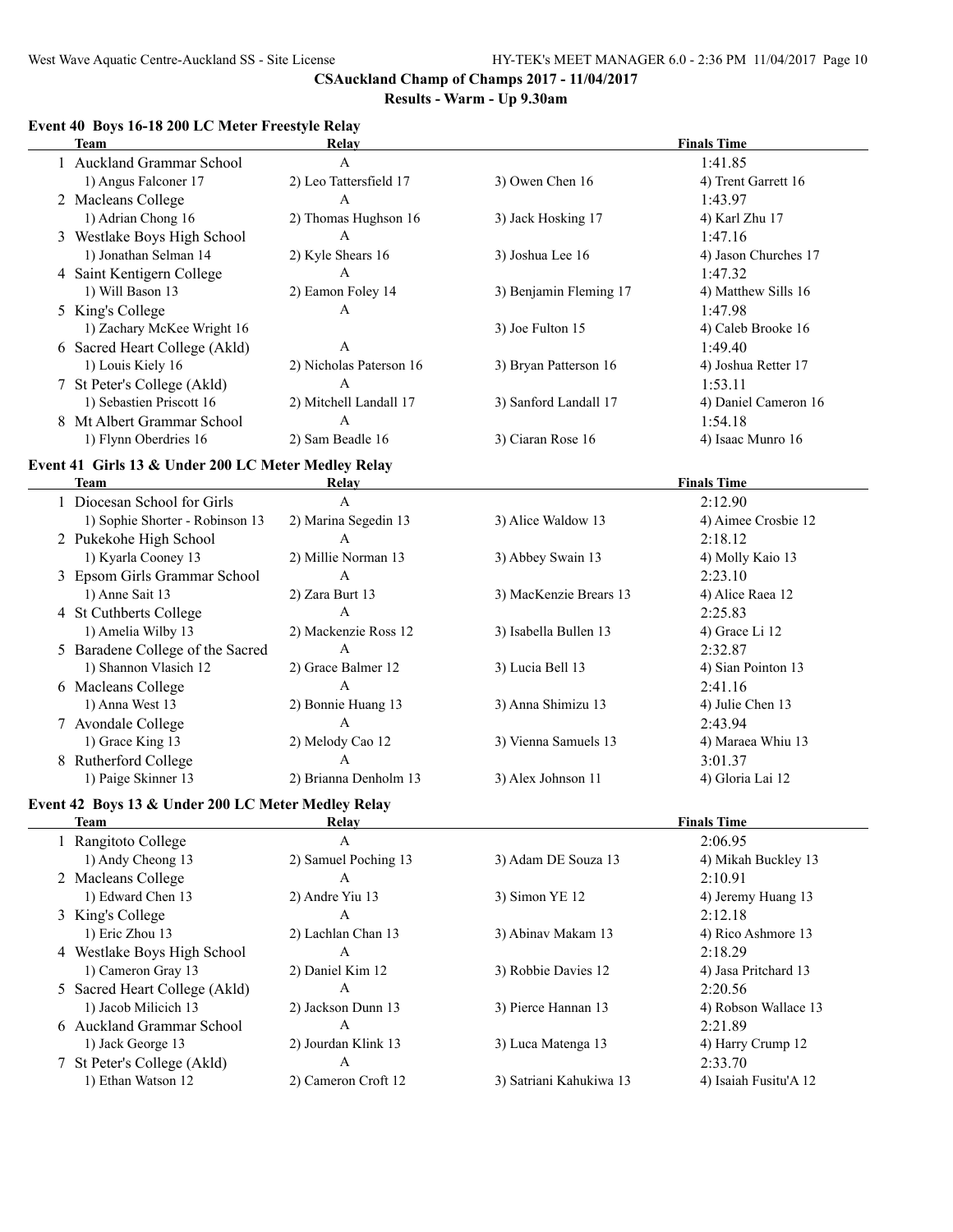#### **Results - Warm - Up 9.30am**

# **Team Relay Finals Time** 1 Auckland Grammar School A 1:41.85 1) Angus Falconer 17 2) Leo Tattersfield 17 3) Owen Chen 16 4) Trent Garrett 16 2 Macleans College A 1:43.97 1) Adrian Chong 16 2) Thomas Hughson 16 3) Jack Hosking 17 4) Karl Zhu 17 3 Westlake Boys High School A 1:47.16 1) Jonathan Selman 14 2) Kyle Shears 16 3) Joshua Lee 16 4) Jason Churches 17 4 Saint Kentigern College A 1:47.32 1) Will Bason 13 2) Eamon Foley 14 3) Benjamin Fleming 17 4) Matthew Sills 16 5 King's College A 1:47.98 1) Zachary McKee Wright 16 3) Joe Fulton 15 4) Caleb Brooke 16 6 Sacred Heart College (Akld) A 1:49.40 1) Louis Kiely 16 2) Nicholas Paterson 16 3) Bryan Patterson 16 4) Joshua Retter 17 7 St Peter's College (Akld) A 1:53.11 1) Sebastien Priscott 16 2) Mitchell Landall 17 3) Sanford Landall 17 4) Daniel Cameron 16 8 Mt Albert Grammar School A 1:54.18 1) Flynn Oberdries 16 2) Sam Beadle 16 3) Ciaran Rose 16 4) Isaac Munro 16 **Event 41 Girls 13 & Under 200 LC Meter Medley Relay Team Relay Finals Time** 1 Diocesan School for Girls A 2:12.90 1) Sophie Shorter - Robinson 13 2) Marina Segedin 13 3) Alice Waldow 13 4) Aimee Crosbie 12 2 Pukekohe High School A 2:18.12 1) Kyarla Cooney 13 2) Millie Norman 13 3) Abbey Swain 13 4) Molly Kaio 13 3 Epsom Girls Grammar School A 2:23.10 1) Anne Sait 13 2) Zara Burt 13 3) MacKenzie Brears 13 4) Alice Raea 12 4 St Cuthberts College A 2:25.83 1) Amelia Wilby 13 2) Mackenzie Ross 12 3) Isabella Bullen 13 4) Grace Li 12 5 Baradene College of the Sacred A 2:32.87 1) Shannon Vlasich 12 2) Grace Balmer 12 3) Lucia Bell 13 4) Sian Pointon 13 6 Macleans College A 2:41.16 1) Anna West 13 2) Bonnie Huang 13 3) Anna Shimizu 13 4) Julie Chen 13 7 Avondale College A 2:43.94 1) Grace King 13 2) Melody Cao 12 3) Vienna Samuels 13 4) Maraea Whiu 13 8 Rutherford College A 3:01.37 1) Paige Skinner 13 2) Brianna Denholm 13 3) Alex Johnson 11 4) Gloria Lai 12 **Event 42 Boys 13 & Under 200 LC Meter Medley Relay Team Relay Finals Time** 1 Rangitoto College A 2:06.95 1) Andy Cheong 13 2) Samuel Poching 13 3) Adam DE Souza 13 4) Mikah Buckley 13 2 Macleans College A 2:10.91 1) Edward Chen 13 2) Andre Yiu 13 3) Simon YE 12 4) Jeremy Huang 13 3 King's College A 2:12.18

#### **Event 40 Boys 16-18 200 LC Meter Freestyle Relay**

| Team                          | Relav                |                         | <b>Finals Time</b>    |  |
|-------------------------------|----------------------|-------------------------|-----------------------|--|
| 1 Rangitoto College           | А                    |                         | 2:06.95               |  |
| 1) Andy Cheong 13             | 2) Samuel Poching 13 | 3) Adam DE Souza 13     | 4) Mikah Buckley 13   |  |
| 2 Macleans College            | A                    |                         | 2:10.91               |  |
| 1) Edward Chen 13             | 2) Andre Yiu 13      | 3) Simon YE 12          | 4) Jeremy Huang 13    |  |
| 3 King's College              | A                    |                         | 2:12.18               |  |
| 1) Eric Zhou 13               | 2) Lachlan Chan 13   | 3) Abinay Makam 13      | 4) Rico Ashmore 13    |  |
| 4 Westlake Boys High School   | A                    |                         | 2:18.29               |  |
| 1) Cameron Gray 13            | 2) Daniel Kim 12     | 3) Robbie Davies 12     | 4) Jasa Pritchard 13  |  |
| 5 Sacred Heart College (Akld) | A                    |                         | 2:20.56               |  |
| 1) Jacob Milicich 13          | 2) Jackson Dunn 13   | 3) Pierce Hannan 13     | 4) Robson Wallace 13  |  |
| 6 Auckland Grammar School     | A                    |                         | 2:21.89               |  |
| 1) Jack George 13             | 2) Jourdan Klink 13  | 3) Luca Matenga 13      | 4) Harry Crump 12     |  |
| 7 St Peter's College (Akld)   | А                    |                         | 2:33.70               |  |
| 1) Ethan Watson 12            | 2) Cameron Croft 12  | 3) Satriani Kahukiwa 13 | 4) Isaiah Fusitu'A 12 |  |
|                               |                      |                         |                       |  |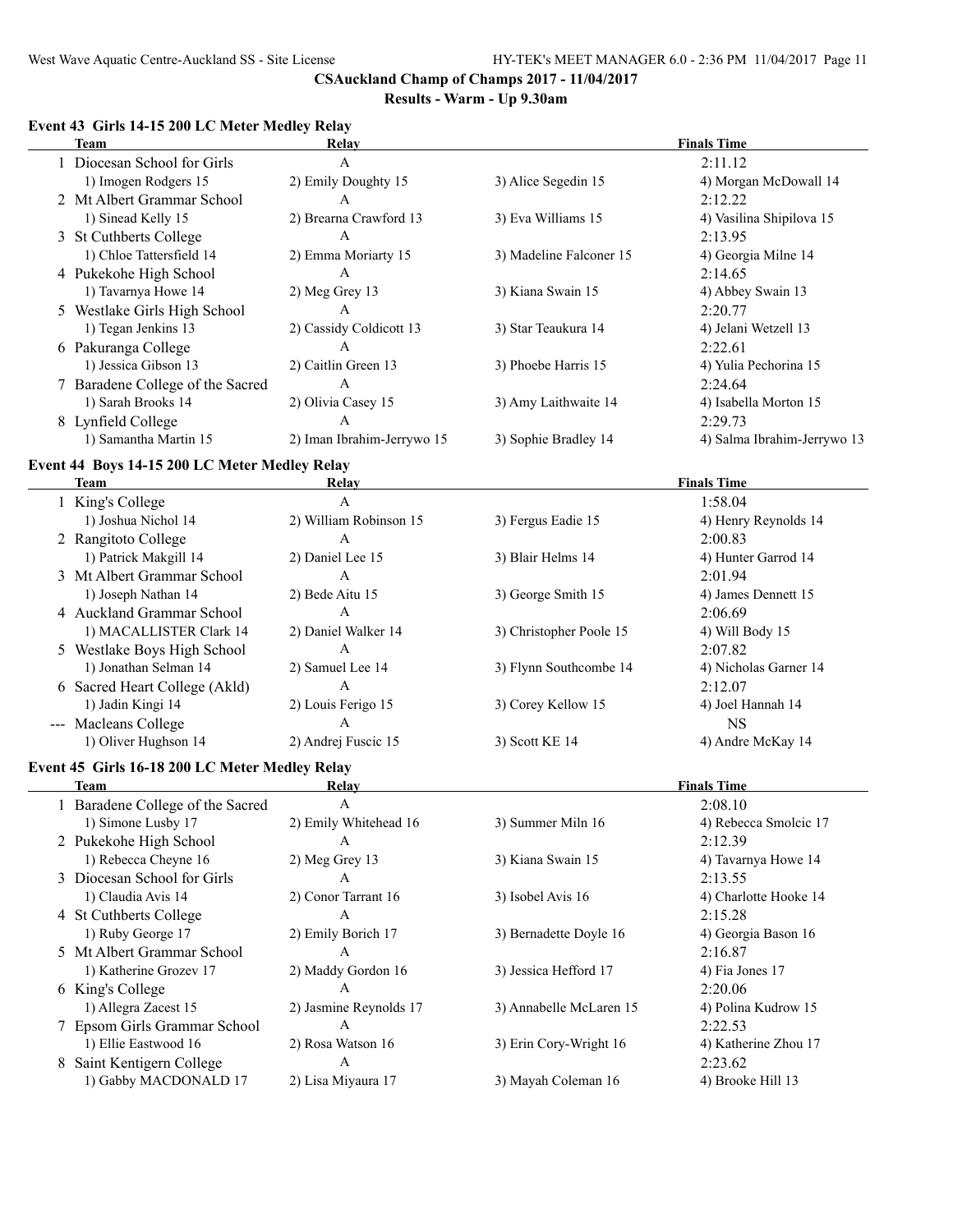#### **Results - Warm - Up 9.30am**

# **Event 43 Girls 14-15 200 LC Meter Medley Relay**

| Relay                      | <b>Finals Time</b>               |                             |  |
|----------------------------|----------------------------------|-----------------------------|--|
| A                          |                                  | 2:11.12                     |  |
| 2) Emily Doughty 15        | 3) Alice Segedin 15              | 4) Morgan McDowall 14       |  |
| A                          |                                  | 2:12.22                     |  |
| 2) Brearna Crawford 13     | 3) Eva Williams 15               | 4) Vasilina Shipilova 15    |  |
| A                          |                                  | 2:13.95                     |  |
| 2) Emma Moriarty 15        | 3) Madeline Falconer 15          | 4) Georgia Milne 14         |  |
| А                          |                                  | 2:14.65                     |  |
| $2)$ Meg Grey 13           | 3) Kiana Swain 15                | 4) Abbey Swain 13           |  |
| A                          |                                  | 2:20.77                     |  |
| 2) Cassidy Coldicott 13    | 3) Star Teaukura 14              | 4) Jelani Wetzell 13        |  |
| A                          |                                  | 2:22.61                     |  |
| 2) Caitlin Green 13        | 3) Phoebe Harris 15              | 4) Yulia Pechorina 15       |  |
| A                          |                                  | 2:24.64                     |  |
| 2) Olivia Casey 15         | 3) Amy Laithwaite 14             | 4) Isabella Morton 15       |  |
| A                          |                                  | 2:29.73                     |  |
| 2) Iman Ibrahim-Jerrywo 15 | 3) Sophie Bradley 14             | 4) Salma Ibrahim-Jerrywo 13 |  |
|                            | 7 Baradene College of the Sacred |                             |  |

#### **Event 44 Boys 14-15 200 LC Meter Medley Relay**

| Team                          | Relay                  |                         | <b>Finals Time</b>    |
|-------------------------------|------------------------|-------------------------|-----------------------|
| 1 King's College              | А                      |                         | 1:58.04               |
| 1) Joshua Nichol 14           | 2) William Robinson 15 | 3) Fergus Eadie 15      | 4) Henry Reynolds 14  |
| 2 Rangitoto College           | A                      |                         | 2:00.83               |
| 1) Patrick Makgill 14         | 2) Daniel Lee 15       | 3) Blair Helms 14       | 4) Hunter Garrod 14   |
| 3 Mt Albert Grammar School    | A                      |                         | 2:01.94               |
| 1) Joseph Nathan 14           | 2) Bede Aitu 15        | 3) George Smith 15      | 4) James Dennett 15   |
| 4 Auckland Grammar School     | A                      |                         | 2:06.69               |
| 1) MACALLISTER Clark 14       | 2) Daniel Walker 14    | 3) Christopher Poole 15 | 4) Will Body 15       |
| 5 Westlake Boys High School   | A                      |                         | 2:07.82               |
| 1) Jonathan Selman 14         | 2) Samuel Lee 14       | 3) Flynn Southcombe 14  | 4) Nicholas Garner 14 |
| 6 Sacred Heart College (Akld) | A                      |                         | 2:12.07               |
| 1) Jadin Kingi 14             | 2) Louis Ferigo 15     | 3) Corey Kellow 15      | 4) Joel Hannah 14     |
| --- Macleans College          | A                      |                         | NS.                   |
| 1) Oliver Hughson 14          | 2) Andrej Fuscic 15    | 3) Scott KE 14          | 4) Andre McKay 14     |

# **Event 45 Girls 16-18 200 LC Meter Medley Relay**

| Team                             | Relay                  |                         | <b>Finals Time</b>    |
|----------------------------------|------------------------|-------------------------|-----------------------|
| 1 Baradene College of the Sacred | A                      |                         | 2:08.10               |
| 1) Simone Lusby 17               | 2) Emily Whitehead 16  | 3) Summer Miln 16       | 4) Rebecca Smolcic 17 |
| 2 Pukekohe High School           | $\mathsf{A}$           |                         | 2:12.39               |
| 1) Rebecca Cheyne 16             | $2)$ Meg Grey 13       | 3) Kiana Swain 15       | 4) Tavarnya Howe 14   |
| 3 Diocesan School for Girls      | A                      |                         | 2:13.55               |
| 1) Claudia Avis 14               | 2) Conor Tarrant 16    | 3) Isobel Avis 16       | 4) Charlotte Hooke 14 |
| 4 St Cuthberts College           | A                      |                         | 2:15.28               |
| 1) Ruby George 17                | 2) Emily Borich 17     | 3) Bernadette Doyle 16  | 4) Georgia Bason 16   |
| 5 Mt Albert Grammar School       | A                      |                         | 2:16.87               |
| 1) Katherine Grozev 17           | 2) Maddy Gordon 16     | 3) Jessica Hefford 17   | 4) Fia Jones 17       |
| 6 King's College                 | A                      |                         | 2:20.06               |
| 1) Allegra Zacest 15             | 2) Jasmine Reynolds 17 | 3) Annabelle McLaren 15 | 4) Polina Kudrow 15   |
| 7 Epsom Girls Grammar School     | A                      |                         | 2:22.53               |
| 1) Ellie Eastwood 16             | 2) Rosa Watson 16      | 3) Erin Cory-Wright 16  | 4) Katherine Zhou 17  |
| 8 Saint Kentigern College        | A                      |                         | 2:23.62               |
| 1) Gabby MACDONALD 17            | 2) Lisa Miyaura 17     | 3) Mayah Coleman 16     | 4) Brooke Hill 13     |